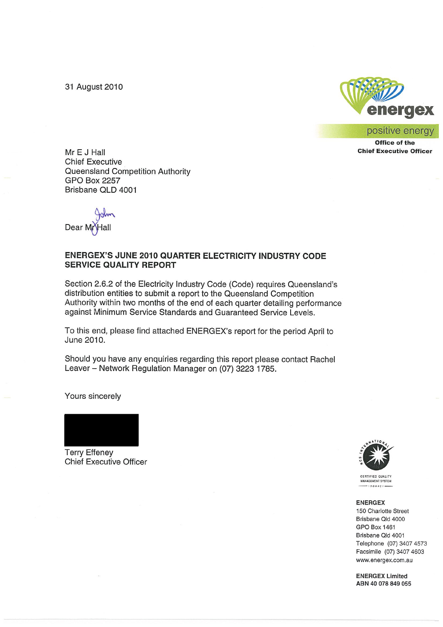31 August 2010



positive energy

**Office of the Chief Executive Officer** 

Mr E J Hall **Chief Executive** Queensland Competition Authority **GPO Box 2257** Brisbane QLD 4001

Dear M<sub>r</sub>

#### **ENERGEX'S JUNE 2010 QUARTER ELECTRICITY INDUSTRY CODE SERVICE QUALITY REPORT**

Section 2.6.2 of the Electricity Industry Code (Code) requires Queensland's distribution entities to submit a report to the Queensland Competition Authority within two months of the end of each quarter detailing performance against Minimum Service Standards and Guaranteed Service Levels.

To this end, please find attached ENERGEX's report for the period April to June 2010.

Should you have any enquiries regarding this report please contact Rachel Leaver - Network Regulation Manager on (07) 3223 1785.

Yours sincerely



**Terry Effeney Chief Executive Officer** 



**INAGEMENT SYSTEM**  $-1509001$ 

**ENERGEX** 

150 Charlotte Street Brisbane Qld 4000 **GPO Box 1461** Brisbane Qld 4001 Telephone (07) 3407 4573 Facsimile (07) 3407 4603 www.energex.com.au

**ENERGEX Limited** ABN 40 078 849 055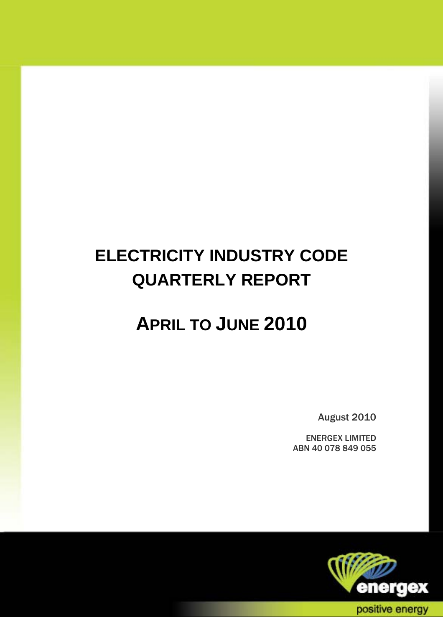# **ELECTRICITY INDUSTRY CODE QUARTERLY REPORT**

# **APRIL TO JUNE 2010**

August 2010

ENERGEX LIMITED ABN 40 078 849 055

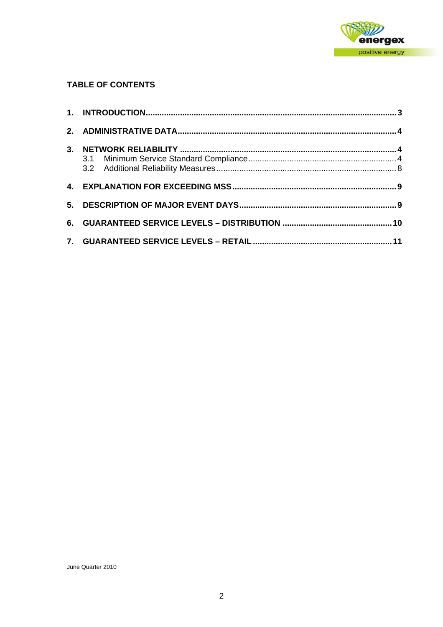

## **TABLE OF CONTENTS**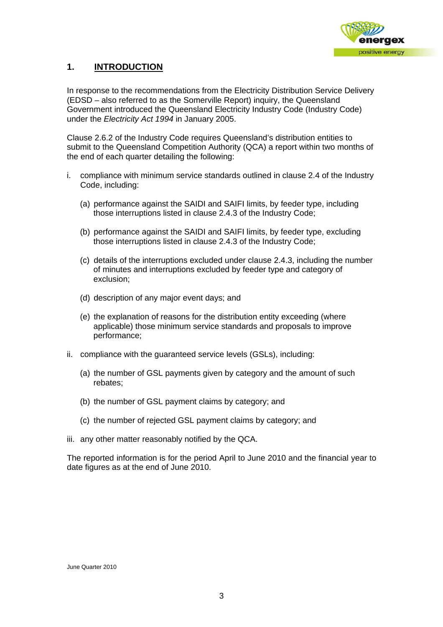

# **1. INTRODUCTION**

In response to the recommendations from the Electricity Distribution Service Delivery (EDSD – also referred to as the Somerville Report) inquiry, the Queensland Government introduced the Queensland Electricity Industry Code (Industry Code) under the *Electricity Act 1994* in January 2005.

Clause 2.6.2 of the Industry Code requires Queensland's distribution entities to submit to the Queensland Competition Authority (QCA) a report within two months of the end of each quarter detailing the following:

- i. compliance with minimum service standards outlined in clause 2.4 of the Industry Code, including:
	- (a) performance against the SAIDI and SAIFI limits, by feeder type, including those interruptions listed in clause 2.4.3 of the Industry Code;
	- (b) performance against the SAIDI and SAIFI limits, by feeder type, excluding those interruptions listed in clause 2.4.3 of the Industry Code;
	- (c) details of the interruptions excluded under clause 2.4.3, including the number of minutes and interruptions excluded by feeder type and category of exclusion;
	- (d) description of any major event days; and
	- (e) the explanation of reasons for the distribution entity exceeding (where applicable) those minimum service standards and proposals to improve performance;
- ii. compliance with the guaranteed service levels (GSLs), including:
	- (a) the number of GSL payments given by category and the amount of such rebates;
	- (b) the number of GSL payment claims by category; and
	- (c) the number of rejected GSL payment claims by category; and
- iii. any other matter reasonably notified by the QCA.

The reported information is for the period April to June 2010 and the financial year to date figures as at the end of June 2010.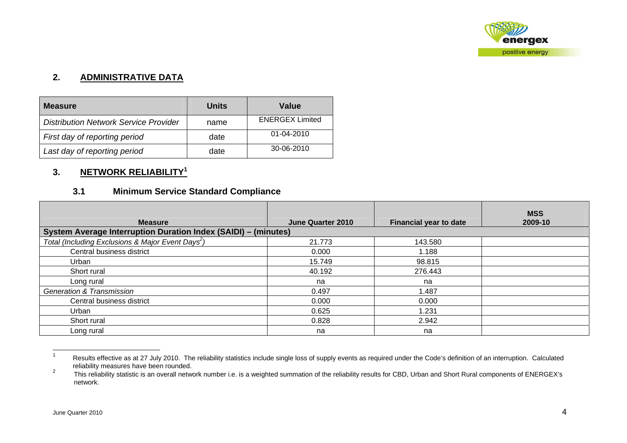

## **2. ADMINISTRATIVE DATA**

| <b>Measure</b>                               | Units | Value                  |
|----------------------------------------------|-------|------------------------|
| <b>Distribution Network Service Provider</b> | name  | <b>ENERGEX Limited</b> |
| First day of reporting period                | date  | $01 - 04 - 2010$       |
| Last day of reporting period                 | date  | 30-06-2010             |

# **3. NETWORK RELIABILITY<sup>1</sup>**

# **3.1 Minimum Service Standard Compliance**

| <b>Measure</b>                                                        | June Quarter 2010 | <b>Financial year to date</b> | <b>MSS</b><br>2009-10 |
|-----------------------------------------------------------------------|-------------------|-------------------------------|-----------------------|
| <b>System Average Interruption Duration Index (SAIDI) - (minutes)</b> |                   |                               |                       |
| Total (Including Exclusions & Major Event Days <sup>2</sup> )         | 21.773            | 143.580                       |                       |
| Central business district                                             | 0.000             | 1.188                         |                       |
| Urban                                                                 | 15.749            | 98.815                        |                       |
| Short rural                                                           | 40.192            | 276.443                       |                       |
| Long rural                                                            | na                | na                            |                       |
| <b>Generation &amp; Transmission</b>                                  | 0.497             | 1.487                         |                       |
| Central business district                                             | 0.000             | 0.000                         |                       |
| Urban                                                                 | 0.625             | 1.231                         |                       |
| Short rural                                                           | 0.828             | 2.942                         |                       |
| Long rural                                                            | na                | na                            |                       |

<sup>1</sup> Results effective as at 27 July 2010. The reliability statistics include single loss of supply events as required under the Code's definition of an interruption. Calculated reliability measures have been rounded.<br><sup>2</sup> This reliability statistic is an overall nature

This reliability statistic is an overall network number i.e. is a weighted summation of the reliability results for CBD, Urban and Short Rural components of ENERGEX's network.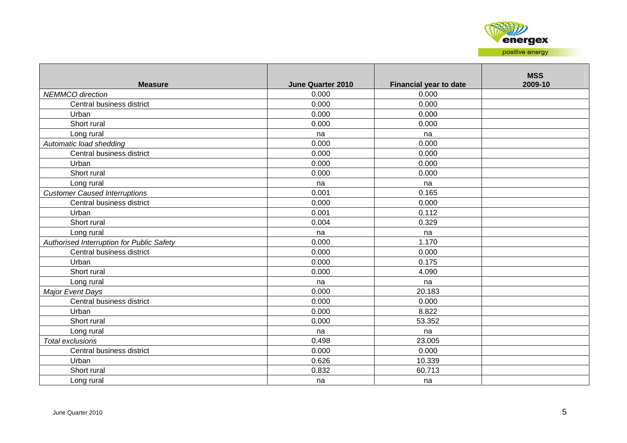

| <b>Measure</b>                            | <b>June Quarter 2010</b> | <b>Financial year to date</b> | <b>MSS</b><br>2009-10 |
|-------------------------------------------|--------------------------|-------------------------------|-----------------------|
| <b>NEMMCO</b> direction                   | 0.000                    | 0.000                         |                       |
| Central business district                 | 0.000                    | 0.000                         |                       |
| Urban                                     | 0.000                    | 0.000                         |                       |
| Short rural                               | 0.000                    | 0.000                         |                       |
| Long rural                                | na                       | na                            |                       |
| Automatic load shedding                   | 0.000                    | 0.000                         |                       |
| Central business district                 | 0.000                    | 0.000                         |                       |
| Urban                                     | 0.000                    | 0.000                         |                       |
| Short rural                               | 0.000                    | 0.000                         |                       |
| Long rural                                | na                       | na                            |                       |
| <b>Customer Caused Interruptions</b>      | 0.001                    | 0.165                         |                       |
| Central business district                 | 0.000                    | 0.000                         |                       |
| Urban                                     | 0.001                    | 0.112                         |                       |
| Short rural                               | 0.004                    | 0.329                         |                       |
| Long rural                                | na                       | na                            |                       |
| Authorised Interruption for Public Safety | 0.000                    | 1.170                         |                       |
| Central business district                 | 0.000                    | 0.000                         |                       |
| Urban                                     | 0.000                    | 0.175                         |                       |
| Short rural                               | 0.000                    | 4.090                         |                       |
| Long rural                                | na                       | na                            |                       |
| Major Event Days                          | 0.000                    | 20.183                        |                       |
| Central business district                 | 0.000                    | 0.000                         |                       |
| Urban                                     | 0.000                    | 8.822                         |                       |
| Short rural                               | 0.000                    | 53.352                        |                       |
| Long rural                                | na                       | na                            |                       |
| <b>Total exclusions</b>                   | 0.498                    | 23.005                        |                       |
| Central business district                 | 0.000                    | 0.000                         |                       |
| Urban                                     | 0.626                    | 10.339                        |                       |
| Short rural                               | 0.832                    | 60.713                        |                       |
| Long rural                                | na                       | na                            |                       |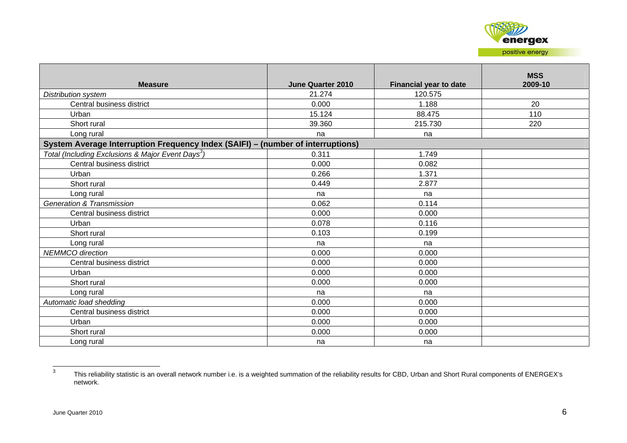

| <b>Measure</b>                                                                  | June Quarter 2010 | <b>Financial year to date</b> | <b>MSS</b><br>2009-10 |
|---------------------------------------------------------------------------------|-------------------|-------------------------------|-----------------------|
| Distribution system                                                             | 21.274            | 120.575                       |                       |
| Central business district                                                       | 0.000             | 1.188                         | 20                    |
| Urban                                                                           | 15.124            | 88.475                        | 110                   |
| Short rural                                                                     | 39.360            | 215.730                       | 220                   |
| Long rural                                                                      | na                | na                            |                       |
| System Average Interruption Frequency Index (SAIFI) - (number of interruptions) |                   |                               |                       |
| Total (Including Exclusions & Major Event Days <sup>3</sup> )                   | 0.311             | 1.749                         |                       |
| Central business district                                                       | 0.000             | 0.082                         |                       |
| Urban                                                                           | 0.266             | 1.371                         |                       |
| Short rural                                                                     | 0.449             | 2.877                         |                       |
| Long rural                                                                      | na                | na                            |                       |
| <b>Generation &amp; Transmission</b>                                            | 0.062             | 0.114                         |                       |
| Central business district                                                       | 0.000             | 0.000                         |                       |
| Urban                                                                           | 0.078             | 0.116                         |                       |
| Short rural                                                                     | 0.103             | 0.199                         |                       |
| Long rural                                                                      | na                | na                            |                       |
| <b>NEMMCO</b> direction                                                         | 0.000             | 0.000                         |                       |
| Central business district                                                       | 0.000             | 0.000                         |                       |
| Urban                                                                           | 0.000             | 0.000                         |                       |
| Short rural                                                                     | 0.000             | 0.000                         |                       |
| Long rural                                                                      | na                | na                            |                       |
| Automatic load shedding                                                         | 0.000             | 0.000                         |                       |
| Central business district                                                       | 0.000             | 0.000                         |                       |
| Urban                                                                           | 0.000             | 0.000                         |                       |
| Short rural                                                                     | 0.000             | 0.000                         |                       |
| Long rural                                                                      | na                | na                            |                       |

<sup>3</sup> This reliability statistic is an overall network number i.e. is a weighted summation of the reliability results for CBD, Urban and Short Rural components of ENERGEX's network.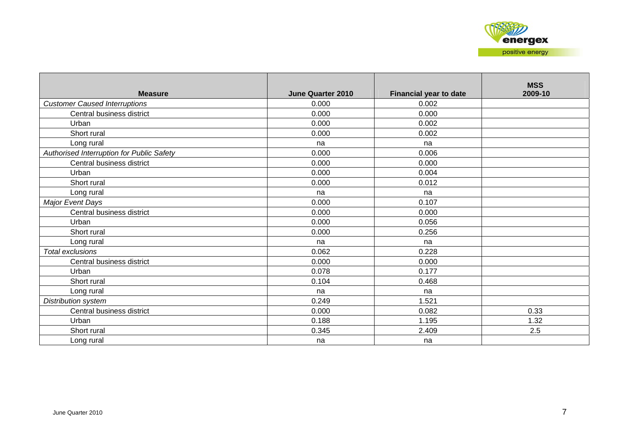| <b>Measure</b>                            | <b>June Quarter 2010</b> | Financial year to date | <b>MSS</b><br>2009-10 |
|-------------------------------------------|--------------------------|------------------------|-----------------------|
| <b>Customer Caused Interruptions</b>      | 0.000                    | 0.002                  |                       |
| Central business district                 | 0.000                    | 0.000                  |                       |
| Urban                                     | 0.000                    | 0.002                  |                       |
| Short rural                               | 0.000                    | 0.002                  |                       |
| Long rural                                | na                       | na                     |                       |
| Authorised Interruption for Public Safety | 0.000                    | 0.006                  |                       |
| Central business district                 | 0.000                    | 0.000                  |                       |
| Urban                                     | 0.000                    | 0.004                  |                       |
| Short rural                               | 0.000                    | 0.012                  |                       |
| Long rural                                | na                       | na                     |                       |
| Major Event Days                          | 0.000                    | 0.107                  |                       |
| Central business district                 | 0.000                    | 0.000                  |                       |
| Urban                                     | 0.000                    | 0.056                  |                       |
| Short rural                               | 0.000                    | 0.256                  |                       |
| Long rural                                | na                       | na                     |                       |
| <b>Total exclusions</b>                   | 0.062                    | 0.228                  |                       |
| Central business district                 | 0.000                    | 0.000                  |                       |
| Urban                                     | 0.078                    | 0.177                  |                       |
| Short rural                               | 0.104                    | 0.468                  |                       |
| Long rural                                | na                       | na                     |                       |
| Distribution system                       | 0.249                    | 1.521                  |                       |
| Central business district                 | 0.000                    | 0.082                  | 0.33                  |
| Urban                                     | 0.188                    | 1.195                  | 1.32                  |
| Short rural                               | 0.345                    | 2.409                  | 2.5                   |
| Long rural                                | na                       | na                     |                       |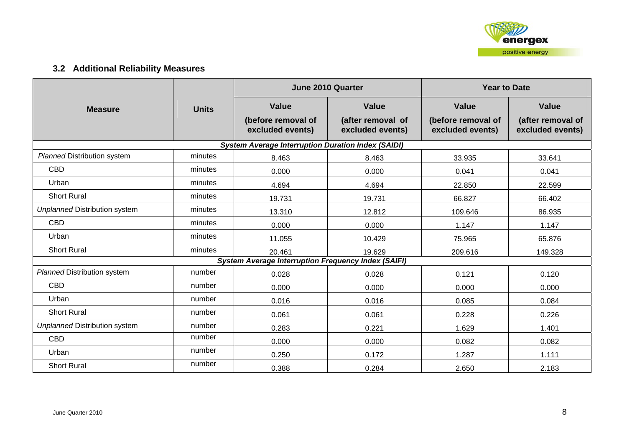

# **3.2 Additional Reliability Measures**

|                                      |              |                                                            | <b>June 2010 Quarter</b>              | <b>Year to Date</b>                    |                                       |  |
|--------------------------------------|--------------|------------------------------------------------------------|---------------------------------------|----------------------------------------|---------------------------------------|--|
| <b>Measure</b>                       | <b>Units</b> | <b>Value</b>                                               | <b>Value</b>                          | <b>Value</b>                           | <b>Value</b>                          |  |
|                                      |              | (before removal of<br>excluded events)                     | (after removal of<br>excluded events) | (before removal of<br>excluded events) | (after removal of<br>excluded events) |  |
|                                      |              | <b>System Average Interruption Duration Index (SAIDI)</b>  |                                       |                                        |                                       |  |
| <b>Planned Distribution system</b>   | minutes      | 8.463                                                      | 8.463                                 | 33.935                                 | 33.641                                |  |
| <b>CBD</b>                           | minutes      | 0.000                                                      | 0.000                                 | 0.041                                  | 0.041                                 |  |
| Urban                                | minutes      | 4.694                                                      | 4.694                                 | 22.850                                 | 22.599                                |  |
| <b>Short Rural</b>                   | minutes      | 19.731                                                     | 19.731                                | 66.827                                 | 66.402                                |  |
| <b>Unplanned Distribution system</b> | minutes      | 13.310                                                     | 12.812                                | 109.646                                | 86.935                                |  |
| <b>CBD</b>                           | minutes      | 0.000                                                      | 0.000                                 | 1.147                                  | 1.147                                 |  |
| Urban                                | minutes      | 11.055                                                     | 10.429                                | 75.965                                 | 65.876                                |  |
| <b>Short Rural</b>                   | minutes      | 20.461                                                     | 19.629                                | 209.616                                | 149.328                               |  |
|                                      |              | <b>System Average Interruption Frequency Index (SAIFI)</b> |                                       |                                        |                                       |  |
| <b>Planned Distribution system</b>   | number       | 0.028                                                      | 0.028                                 | 0.121                                  | 0.120                                 |  |
| <b>CBD</b>                           | number       | 0.000                                                      | 0.000                                 | 0.000                                  | 0.000                                 |  |
| Urban                                | number       | 0.016                                                      | 0.016                                 | 0.085                                  | 0.084                                 |  |
| <b>Short Rural</b>                   | number       | 0.061                                                      | 0.061                                 | 0.228                                  | 0.226                                 |  |
| <b>Unplanned Distribution system</b> | number       | 0.283                                                      | 0.221                                 | 1.629                                  | 1.401                                 |  |
| <b>CBD</b>                           | number       | 0.000                                                      | 0.000                                 | 0.082                                  | 0.082                                 |  |
| Urban                                | number       | 0.250                                                      | 0.172                                 | 1.287                                  | 1.111                                 |  |
| <b>Short Rural</b>                   | number       | 0.388                                                      | 0.284                                 | 2.650                                  | 2.183                                 |  |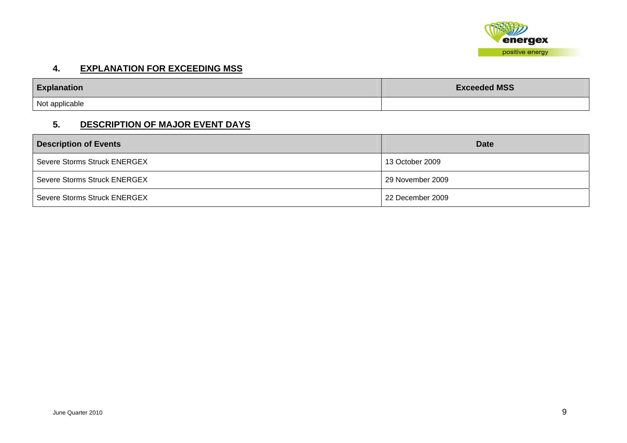

#### **4. EXPLANATION FOR EXCEEDING MSS**

| <b>Explanation</b> | <b>Exceeded MSS</b> |  |
|--------------------|---------------------|--|
| Not applicable     |                     |  |

#### **5. DESCRIPTION OF MAJOR EVENT DAYS**

| <b>Description of Events</b> | <b>Date</b>      |
|------------------------------|------------------|
| Severe Storms Struck ENERGEX | 13 October 2009  |
| Severe Storms Struck ENERGEX | 29 November 2009 |
| Severe Storms Struck ENERGEX | 22 December 2009 |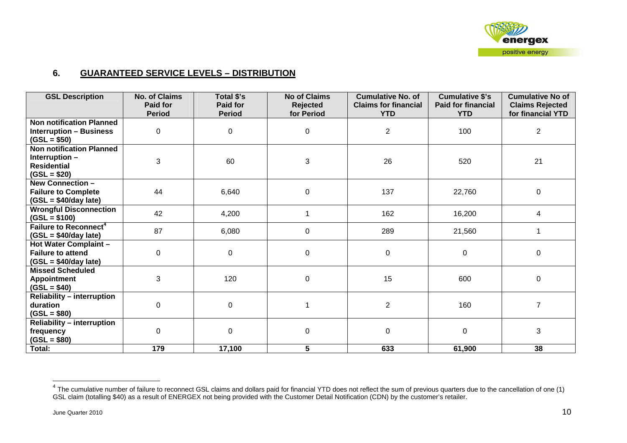

## **6. GUARANTEED SERVICE LEVELS – DISTRIBUTION**

| <b>GSL Description</b>                                                                   | <b>No. of Claims</b><br>Paid for | Total \$'s<br>Paid for | <b>No of Claims</b><br>Rejected | <b>Cumulative No. of</b><br><b>Claims for financial</b> | <b>Cumulative \$'s</b><br><b>Paid for financial</b> | <b>Cumulative No of</b><br><b>Claims Rejected</b> |
|------------------------------------------------------------------------------------------|----------------------------------|------------------------|---------------------------------|---------------------------------------------------------|-----------------------------------------------------|---------------------------------------------------|
|                                                                                          | <b>Period</b>                    | <b>Period</b>          | for Period                      | <b>YTD</b>                                              | <b>YTD</b>                                          | for financial YTD                                 |
| <b>Non notification Planned</b><br><b>Interruption - Business</b><br>$(GSL = $50)$       | 0                                | $\mathbf 0$            | 0                               | $\overline{2}$                                          | 100                                                 | $\overline{2}$                                    |
| <b>Non notification Planned</b><br>Interruption -<br><b>Residential</b><br>$(GSL = $20)$ | 3                                | 60                     | 3                               | 26                                                      | 520                                                 | 21                                                |
| <b>New Connection -</b><br><b>Failure to Complete</b><br>$(GSL = $40/day$ late)          | 44                               | 6,640                  | $\boldsymbol{0}$                | 137                                                     | 22,760                                              | $\mathbf 0$                                       |
| <b>Wrongful Disconnection</b><br>$(GSL = $100)$                                          | 42                               | 4,200                  |                                 | 162                                                     | 16,200                                              | $\overline{4}$                                    |
| Failure to Reconnect <sup>4</sup><br>$(GSL = $40/day$ late)                              | 87                               | 6,080                  | 0                               | 289                                                     | 21,560                                              |                                                   |
| Hot Water Complaint -<br><b>Failure to attend</b><br>$(GSL = $40/day$ late)              | 0                                | 0                      | 0                               | 0                                                       | $\mathbf 0$                                         | $\mathbf 0$                                       |
| <b>Missed Scheduled</b><br><b>Appointment</b><br>$(GSL = $40)$                           | 3                                | 120                    | 0                               | 15                                                      | 600                                                 | $\mathbf 0$                                       |
| <b>Reliability - interruption</b><br>duration<br>$(GSL = $80)$                           | $\mathbf 0$                      | $\mathbf 0$            |                                 | $\overline{2}$                                          | 160                                                 | $\overline{7}$                                    |
| <b>Reliability - interruption</b><br>frequency<br>$(GSL = $80)$                          | $\Omega$                         | $\Omega$               | $\mathbf 0$                     | 0                                                       | $\mathbf 0$                                         | 3                                                 |
| Total:                                                                                   | 179                              | 17,100                 | 5                               | 633                                                     | 61,900                                              | 38                                                |

 $^4$  The cumulative number of failure to reconnect GSL claims and dollars paid for financial YTD does not reflect the sum of previous quarters due to the cancellation of one (1) GSL claim (totalling \$40) as a result of ENERGEX not being provided with the Customer Detail Notification (CDN) by the customer's retailer.